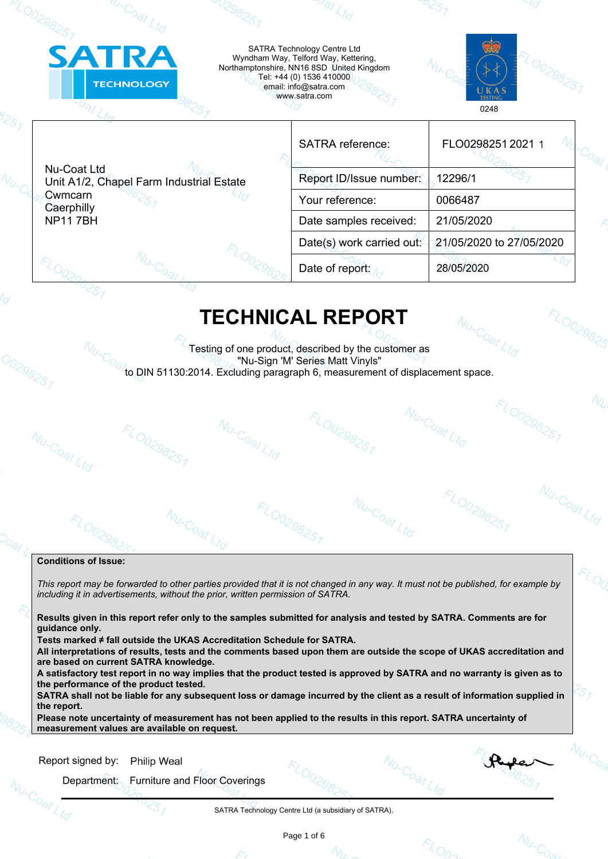| <b>SATRA</b>                            | <b>TECHNOLOGY</b>                        |  | SATRA Technology Centre Ltd<br>Wyndham Way, Telford Way, Kettering,<br>Northamptonshire, NN16 8SD United Kingdom<br>Tel: +44 (0) 1536 410000<br>email: info@satra.com<br>www.satra.com | UKAS<br><b>TESTING</b><br>0248 |
|-----------------------------------------|------------------------------------------|--|----------------------------------------------------------------------------------------------------------------------------------------------------------------------------------------|--------------------------------|
|                                         |                                          |  | <b>SATRA</b> reference:                                                                                                                                                                | FLO0298251 2021 1              |
| Nu-Coat Ltd                             | Unit A1/2, Chapel Farm Industrial Estate |  | Report ID/Issue number:                                                                                                                                                                | 12296/1                        |
| Cwmcarn<br>Caerphilly<br><b>NP117BH</b> |                                          |  | Your reference:                                                                                                                                                                        | 0066487                        |
|                                         |                                          |  | Date samples received:                                                                                                                                                                 | 21/05/2020                     |
|                                         |                                          |  | Date(s) work carried out                                                                                                                                                               | 21/05/2020 to 27/05/2020       |
|                                         |                                          |  | Date of report:                                                                                                                                                                        | 28/05/2020                     |

## **TECHNICAL REPORT**

FLOO29825

Nu-Coat Ltd

FLO0298251

Nu-Coat Ltd

**FLO0298251** 

Nu-Coat Ltd Testing of one product, described by the customer as "Nu-Sign 'M' Series Matt Vinyls" to DIN 51130:2014. Excluding paragraph 6, measurement of displacement space.

Nu-Coat Ltd

**FLO0298251** 

Nu-Coat Ltd

### **Conditions of Issue:**

Nu-Coat Ltd

00298251

*This report may be forwarded to other parties provided that it is not changed in any way. It must not be published, for example by including it in advertisements, without the prior, written permission of SATRA.*

FLOO29825

**Results given in this report refer only to the samples submitted for analysis and tested by SATRA. Comments are for guidance only.** 

**Tests marked ≠ fall outside the UKAS Accreditation Schedule for SATRA.**

Nu-Coat L

**All interpretations of results, tests and the comments based upon them are outside the scope of UKAS accreditation and are based on current SATRA knowledge.**

**A satisfactory test report in no way implies that the product tested is approved by SATRA and no warranty is given as to the performance of the product tested.**

**SATRA shall not be liable for any subsequent loss or damage incurred by the client as a result of information supplied in the report.**

**Please note uncertainty of measurement has not been applied to the results in this report. SATRA uncertainty of measurement values are available on request.**

|  | Report signed by: |  | <b>Philip Weal</b> |  |
|--|-------------------|--|--------------------|--|
|--|-------------------|--|--------------------|--|

Department: Furniture and Floor Coverings

FLO0298251

SATRA Technology Centre Ltd (a subsidiary of SATRA).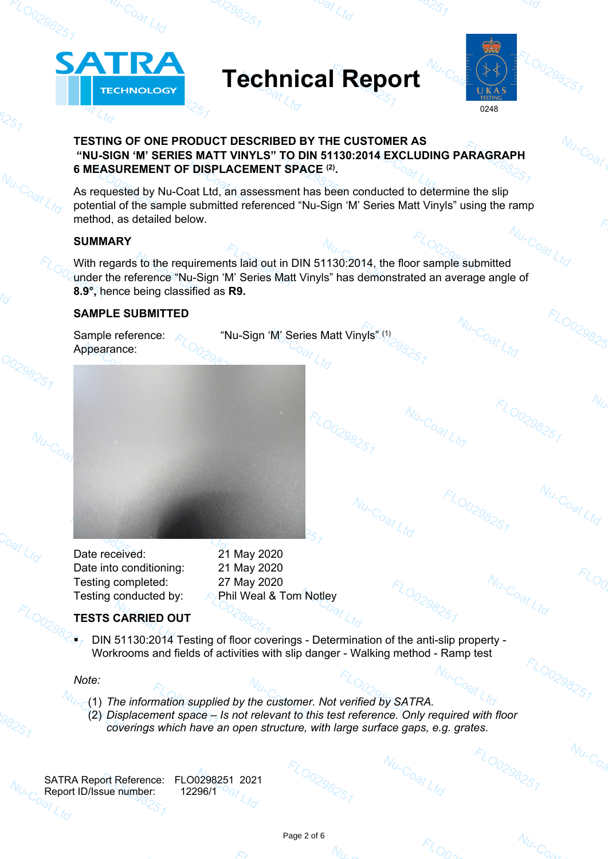# **Technical Report**



Nu-Coat Ltd

FLO0298251

Nu-Coat Ltd

Nu-Coat Ltd

po<sub>at Ltd</sub>

FLO0298251

Nu-Coat Ltd

00298251

Nu-Coat Ltd

FLO0298251

## **TESTING OF ONE PRODUCT DESCRIBED BY THE CUSTOMER AS "NU-SIGN 'M' SERIES MATT VINYLS" TO DIN 51130:2014 EXCLUDING PARAGRAPH 6 MEASUREMENT OF DISPLACEMENT SPACE (2) .**

As requested by Nu-Coat Ltd, an assessment has been conducted to determine the slip potential of the sample submitted referenced "Nu-Sign 'M' Series Matt Vinyls" using the ramp method, as detailed below.

## **SUMMARY**

00298251

Coat Ltd

 $N_{U-C_{O_{\widehat{c}l}}}$ 

**ATRA** 

**TECHNOLOGY** 

With regards to the requirements laid out in DIN 51130:2014, the floor sample submitted under the reference "Nu-Sign 'M' Series Matt Vinyls" has demonstrated an average angle of **8.9°,** hence being classified as **R9.**

## **SAMPLE SUBMITTED**

Sample reference:  $\wedge$  "Nu-Sign 'M' Series Matt Vinyls"<sup>(1)</sup> Appearance: Nu-Coat Ltd FLO0298251

Date received: 21 May 2020 Date into conditioning: 21 May 2020 Testing completed: 27 May 2020

Testing conducted by:  $\mathbb{A}/P$ hil Weal & Tom Notley

## **TESTS CARRIED OUT**

 DIN 51130:2014 Testing of floor coverings - Determination of the anti-slip property - Workrooms and fields of activities with slip danger - Walking method - Ramp test

*Note:*

 $\mathcal{L}_{\mathit{LO}}$ 

- *MA* (1) The information supplied by the customer. Not verified by SATRA.
	- (2) *Displacement space Is not relevant to this test reference. Only required with floor coverings which have an open structure, with large surface gaps, e.g. grates.*

SATRA Report Reference: FLO0298251 2021 Report ID/Issue number: 12296/1

**ZO0298257**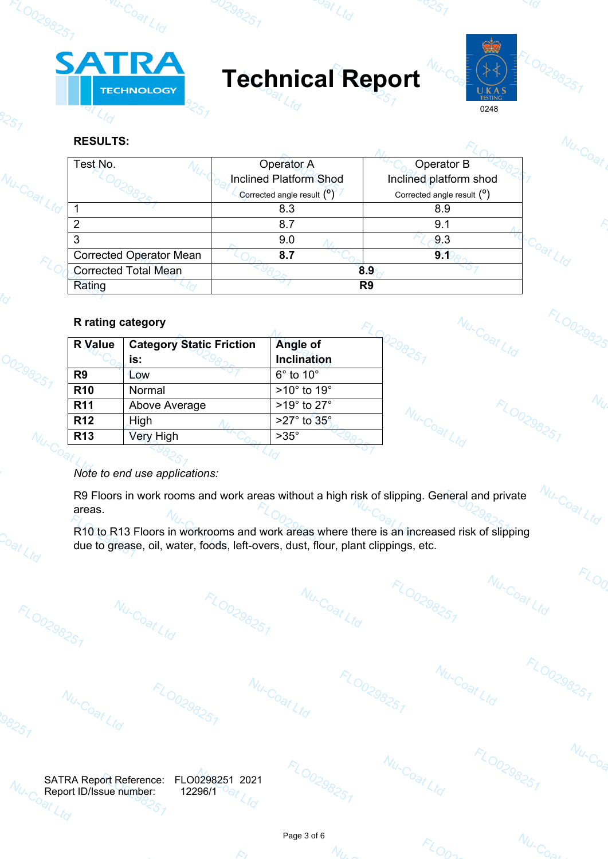

vu-Coat Ltd

**Technical Report**

<sup>oat</sup> Ltd



Nu-Coat Ltd

Nu-Coat Ltd

FLO0298251

Nu-Coat Ltd

Nu-Coat Ltd

FLO0298251

Nu-Coat Ltd

FLO0298251

 $N_{U-C_{O_{\Theta K}}}$ 

 $N_{U \sim C_{O_{\Theta}}}_{U}$ 

FLO029825

Nu-Coat Ltd

FLO0298251

FLOO

 $N_{U\sim\text{Co}_\text{Q}}$ 

 $N_{U}$ 

## **RESULTS:**

20029825

925,

Nu-Coat Ltd

00298251

Coat Ltd

FLO0298251

| Test No.                       | Operator A                    | Operator B                              |  |
|--------------------------------|-------------------------------|-----------------------------------------|--|
|                                | <b>Inclined Platform Shod</b> | Inclined platform shod                  |  |
|                                | Corrected angle result $(°)$  | Corrected angle result ( <sup>o</sup> ) |  |
|                                | 8.3                           | 8.9                                     |  |
|                                | 8.7                           | 9.1                                     |  |
|                                | 9.0                           | 9.3                                     |  |
| <b>Corrected Operator Mean</b> | 8.7                           | 9 <sub>1</sub>                          |  |
| <b>Corrected Total Mean</b>    |                               | 8.9                                     |  |
| Rating                         |                               | R <sub>9</sub>                          |  |

## **R rating category**

| <b>R</b> Value  | <b>Category Static Friction</b> | Angle of                  |
|-----------------|---------------------------------|---------------------------|
|                 | is:                             | <b>Inclination</b>        |
| R <sub>9</sub>  | Low                             | $6^\circ$ to $10^\circ$   |
| <b>R10</b>      | Normal                          | $>10^\circ$ to 19°        |
| <b>R11</b>      | Above Average                   | >19° to 27°               |
| <b>R12</b>      | High                            | $>27^\circ$ to $35^\circ$ |
| R <sub>13</sub> | <b>Very High</b>                | $>35^\circ$               |
|                 |                                 |                           |

FLO0298251

*Note to end use applications:*

Nu-Coat Ltd

FLO0298251

R9 Floors in work rooms and work areas without a high risk of slipping. General and private areas.

R10 to R13 Floors in workrooms and work areas where there is an increased risk of slipping due to grease, oil, water, foods, left-overs, dust, flour, plant clippings, etc.

Nu-Coat Ltd

FLO0298251

SATRA Report Reference: FLO0298251 2021  $N_{U\text{-}C_{\text{C}}}$ Report ID/Issue number: 12296/1<br>Party

57

Nu-Coat Ltd



Nu-Coat Ltd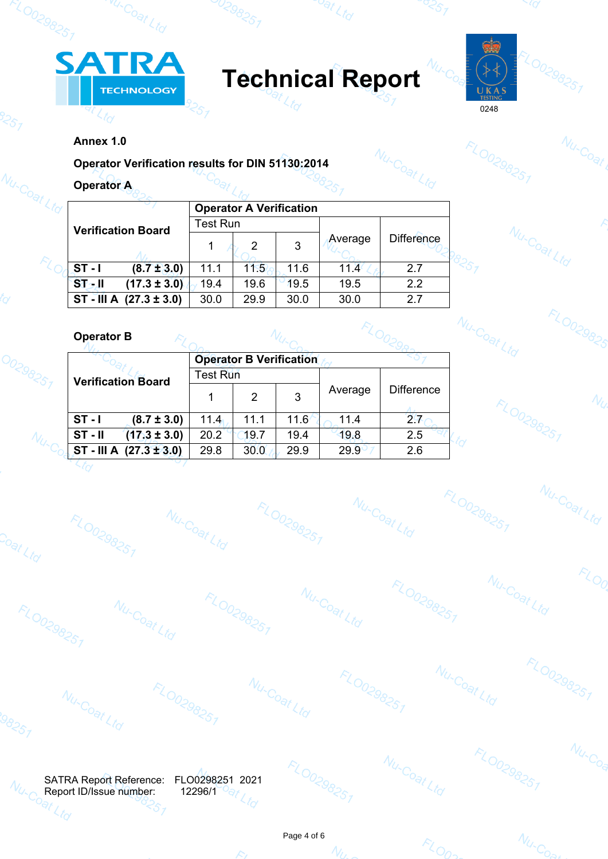

w.coat Ltd

**Technical Report**

oat Ltd



Nu-Coat Ltd

FLO0298251

Nu-Coat Ltd

FLO0298251

 $N_{U\text{-}C_{O_{\Theta K}}}$ 

FLO0298251

FLO0298251

Nu-Coat

FLOO29825

Nu-Coat Ltd

FLO0298251

FLOO

Nu-Coa

 $N_Q$ 

 $\mathbb{C}^\infty_{\mathcal{S}_\mathcal{I}}$ 

## **Annex 1.0**

257

00298251

Co<sub>at Ltd</sub>

08257

 $N_{U_{\tau}C_{C}}$ 

FLO0298251

Nu-Coat Ltd

**FLO0298251** 

**FLO0298251** 

 $\mathcal{L}_I$ 

0298257

|  | Annex 1.0                                        |                 |                                |      |                   |                   |  |
|--|--------------------------------------------------|-----------------|--------------------------------|------|-------------------|-------------------|--|
|  | Operator Verification results for DIN 51130:2014 |                 |                                |      |                   |                   |  |
|  | <b>Operator A</b>                                |                 |                                |      |                   |                   |  |
|  |                                                  |                 | <b>Operator A Verification</b> |      |                   |                   |  |
|  | <b>Verification Board</b>                        | <b>Test Run</b> |                                |      |                   |                   |  |
|  |                                                  |                 | 2                              | 3    | Average           | <b>Difference</b> |  |
|  | $ST - I$<br>$(8.7 \pm 3.0)$                      | 11.1            | 11.5                           | 11.6 | 11.4 <sup>°</sup> | 2.7               |  |
|  | <b>STAJI</b><br>$(17.3 \pm 3.0)$                 | 19.4            | 19.6                           | 19.5 | 19.5              | 2.2               |  |
|  | ST - III A $(27.3 \pm 3.0)$                      | 30.0            | 29.9                           | 30.0 | 30.0              | 2.7               |  |
|  | <b>Operator B</b>                                |                 |                                |      |                   |                   |  |
|  |                                                  |                 | <b>Operator B Verification</b> |      |                   |                   |  |

FLO0298251

Nu-Coat Ltd

| <b>Operator B</b>             |                 |                                |       |         |                   |  |
|-------------------------------|-----------------|--------------------------------|-------|---------|-------------------|--|
|                               |                 | <b>Operator B Verification</b> |       |         |                   |  |
| <b>Verification Board</b>     | <b>Test Run</b> |                                |       |         |                   |  |
|                               |                 | 2                              | 3     | Average | <b>Difference</b> |  |
| $ST - I$<br>$(8.7 \pm 3.0)$   | 11.4            | 11.1                           | 11.6' | 11.4    | 2.7               |  |
| $ST - II$<br>$(17.3 \pm 3.0)$ | 20.2            | 19.7                           | 19.4  | 19.8    | 2.5               |  |
| ST - III A $(27.3 \pm 3.0)$   | 29.8            | 30.0                           | 29.9  | 29.9    | 2.6               |  |

**FLO0298251** 

SATRA Report Reference: FLO0298251 2021<br>Report ID/Issue number: 12296/1<sup>09</sup>1 Report ID/Issue number: 12296/1<br>
Report ID/Issue number: 12296/1

<57

Nu-Coat Ltd



Nu-Coat Ltd

**FLO0298251** 

Nu-Coat Ltd

**FLO0298251** 



Nu-Coat Ltd



Nu-Coat Ltd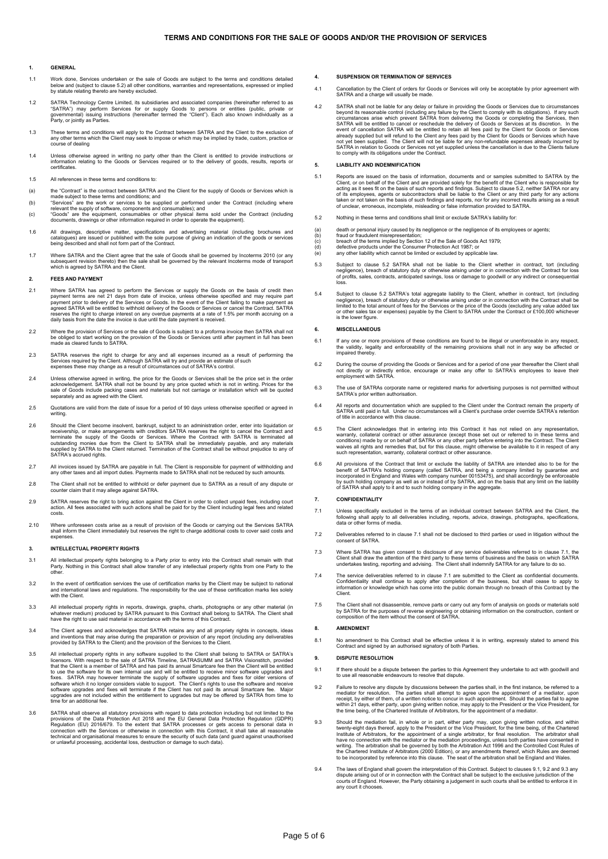#### **1. GENERAL**

- 1.1 Work done, Services undertaken or the sale of Goods are subject to the terms and conditions detailed<br>below and (subject to clause 5.2) all other conditions, warranties and representations, expressed or implied<br>by statu
- 1.2 SATRA Technology Centre Limited, its subsidiaries and associated companies (hereinafter referred to as<br>"SATRA") may perform Services for or supply Goods to persons or entities (public, private or<br>governmental) issuing
- 1.3 These terms and conditions will apply to the Contract between SATRA and the Client to the exclusion of any other terms which the Client may seek to impose or which may be implied by trade, custom, practice or course of dealing
- 1.4 Unless otherwise agreed in writing no party other than the Client is entitled to provide instructions or information relating to the Goods or Services required or to the delivery of goods, results, reports or certificates.
- 1.5 All references in these terms and conditions to:
- 
- (a) the "Contract" is the contract between SATRA and the Client for the supply of Goods or Services which is made subject to these terms and conditions; and<br>(b) "Services" are the work or services to be supplied or perform
- 
- 1.6 All drawings, descriptive matter, specifications and advertising material (including brochures and<br>catalogues) are issued or published with the sole purpose of giving an indication of the goods or services<br>being descri
- 1.7 Where SATRA and the Client agree that the sale of Goods shall be governed by Incoterms 2010 (or any<br>subsequent revision thereto) then the sale shall be governed by the relevant Incoterms mode of transport<br>which is agre

#### **2. FEES AND PAYMENT**

- 2.1 Where SATRA has agreed to perform the Services or supply the Goods on the basis of credit then payment terms are net 21 days from date of invoice, unless otherwise specified and may require part payment prior to delive
- 2.2 Where the provision of Services or the sale of Goods is subject to a proforma invoice then SATRA shall not<br>be obliged to start working on the provision of the Goods or Services until after payment in full has been<br>made
- 2.3 SATRA reserves the right to charge for any and all expenses incurred as a result of performing the<br>Services required by the Client. Although SATRA will try and provide an estimate of such<br>expenses these may change as a
- 2.4 Unless otherwise agreed in writing, the price for the Goods or Services shall be the price set in the order<br>acknowledgement. SATRA shall not be bound by any price quoted which is not in writing. Prices for the<br>sale of
- 2.5 Quotations are valid from the date of issue for a period of 90 days unless otherwise specified or agreed in writing.
- 2.6 Should the Client become insolvent, bankrupt, subject to an administration order, enter into liquidation or<br>receivership, or make arrangements with creditors SATRA reserves the right to cancel the Contract and<br>terminat
- 2.7 All invoices issued by SATRA are payable in full. The Client is responsible for payment of withholding and any other taxes and all import duties. Payments made to SATRA shall not be reduced by such amounts.
- 2.8 The Client shall not be entitled to withhold or defer payment due to SATRA as a result of any dispute or counter claim that it may allege against SATRA.
- 2.9 SATRA reserves the right to bring action against the Client in order to collect unpaid fees, including court action. All fees associated with such actions shall be paid for by the Client including legal fees and related costs.
- 2.10 Where unforeseen costs arise as a result of provision of the Goods or carrying out the Services SATRA shall inform the Client immediately but reserves the right to charge additional costs to cover said costs and expenses.

#### **3. INTELLECTUAL PROPERTY RIGHTS**

- 3.1 All intellectual property rights belonging to a Party prior to entry into the Contract shall remain with that<br>Party. Nothing in this Contract shall allow transfer of any intellectual property rights from one Party to t
- 1.2 In the event of certification services the use of certification marks by the Client may be subject to national<br>and international laws and regulations. The responsibility for the use of these certification marks lies so
- 3.3 All intellectual property rights in reports, drawings, graphs, charts, photographs or any other material (in<br>whatever medium) produced by SATRA pursuant to this Contract shall belong to SATRA. The Client shall<br>have the
- 3.4 The Client agrees and acknowledges that SATRA retains any and all propriety rights in concepts, ideas and inventions that may arise during the preparation or provision of any report (including any deliverables provided by SATRA to the Client) and the provision of the Services to the Client.
- 3.5 All intellectual property rights in any software supplied to the Client shall belong to SATRA or SATRA's licensors. With respect to the sale of SATRA Timeline, SATRASUMM and SATRA Visionstitch, provided that the Client is a member of SATRA and has paid its annual Smartcare fee then the Client will be entitled to use the software for its own internal use and will be entitled to receive minor software upgrades and fixes. SATRA may however terminate the supply of software upgrades and fixes for older versions of software which it
- 3.6 SATRA shall observe all statutory provisions with regard to data protection including but not limited to the provisions of the Data Protection Act 2018 and the EU General Data Protection Regulation (GU) 2016/679. To th

#### **4. SUSPENSION OR TERMINATION OF SERVICES**

- 4.1 Cancellation by the Client of orders for Goods or Services will only be acceptable by prior agreement with SATRA and a charge will usually be made.
- 4.2 SATRA shall not be liable for any delay or failure in providing the Goods or Services due to circumstances<br>beyond its reasonable control (including any failure by the Client to comply with its obligations). If any such SATRA will be entitled to cancel or reschedule the delivery of Goods or Services at its discretion. In the event of cancellation SATRA will be entitled to retain all fees paid by the Client for Goods or Services already supplied but will refund to the Client any fees paid by the Client for Goods or Services which have<br>not yet been supplied. The Client will not be liable for any non-refundable expenses already incurred by<br>SATRA in to comply with its obligations under the Contract.

#### **5. LIABILITY AND INDEMNIFICATION**

- 5.1 Reports are issued on the basis of information, documents and or samples submitted to SATRA by the Client, or on behalf of the Client and are provided solely for the benefit of the Client who is responsible for the cli
- 5.2 Nothing in these terms and conditions shall limit or exclude SATRA's liability for:
- (a) death or personal injury caused by its negligence or the negligence of its employees or agents;<br>(b) fraud or fraudulent misrepresentation;
- (b) fraud or fraudulent misrepresentation; (c) breach of the terms implied by Section 12 of the Sale of Goods Act 1979;
- 
- (d) defective products under the Consumer Protection Act 1987; or (e) any other liability which cannot be limited or excluded by applicable law.
- 5.3 Subject to clause 5.2 SATRA shall not be liable to the Client whether in contract, tort (including<br>negligence), breach of statutory duty or otherwise arising under or in connection with the Contract for loss<br>of profits loss.
- 5.4 Subject to clause 5.2 SATRA's total aggregate liability to the Client, whether in contract, tort (including<br>negligence), breach of statutory duty or otherwise arising under or in connection with the Contract shall be<br>l or other sales tax<br>is the lower figure.

#### **6. MISCELLANEOUS**

- 6.1 If any one or more provisions of these conditions are found to be illegal or unenforceable in any respect,<br>the validity, legality and enforceability of the remaining provisions shall not in any way be affected or<br>impai
- 6.2 During the course of providing the Goods or Services and for a period of one year thereafter the Client shall<br>not directly or indirectly entice, encourage or make any offer to SATRA's employees to leave their<br>employmen
- 6.3 The use of SATRAs corporate name or registered marks for advertising purposes is not permitted without SATRA's prior written authorisation.
- 6.4 All reports and documentation which are supplied to the Client under the Contract remain the property of SATRA until paid in full. Under no circumstances will a Client's purchase order override SATRA's retention of title in accordance with this clause.
- 6.5 The Client acknowledges that in entering into this Contract it has not relied on any representation, warranty, collateral contract or other assurance (except those set out or referred to in these terms and conditions)
- 6.6 All provisions of the Contract that limit or exclude the liability of SATRA are intended also to be for the benefit of SATRA's holding company (called SATRA, and being a company limited by guarantee and<br>incorporated in England and Wales with company number 00153475), and shall accordingly be enforceable<br>by such holding company a

#### **7. CONFIDENTIALITY**

- 7.1 Unless specifically excluded in the terms of an individual contract between SATRA and the Client, the following shall apply to all deliverables including, reports, advice, drawings, photographs, specifications, data of
- 7.2 Deliverables referred to in clause 7.1 shall not be disclosed to third parties or used in litigation without the consent of SATRA.
- 7.3 Where SATRA has given consent to disclosure of any service deliverables referred to in clause 7.1, the<br>Client shall draw the attention of the third party to these terms of business and the basis on which SATRA<br>undertak
- The service deliverables referred to in clause 7.1 are submitted to the Client as confidential documents.<br>Confidentiality shall continue to apply after completion of the business, but shall cease to apply to<br>information or **Client**
- 7.5 The Client shall not disassemble, remove parts or carry out any form of analysis on goods or materials sold by SATRA for the purposes of reverse engineering or obtaining information on the construction, content or composition of the item without the consent of SATRA.

#### **8. AMENDMENT**

8.1 No amendment to this Contract shall be effective unless it is in writing, expressly stated to amend this Contract and signed by an authorised signatory of both Parties.

#### **9. DISPUTE RESOLUTION**

- 9.1 If there should be a dispute between the parties to this Agreement they undertake to act with goodwill and to use all reasonable endeavours to resolve that dispute.
- 9.2 Failure to resolve any dispute by discussions between the parties shall, in the first instance, be referred to a mediator for resolution. The parties shall attempt to agree upon the appointment of a mediator, upon rece
- 9.3 Should the mediation fail, in whole or in part, either party may, upon giving written notice, and within twenty-eight days thereof, apply to the President or the Vice President, for the time being, of the Chartered<br>Institute of Arbitrators, for the appointment of a single arbitrator, for final resolution. The arbitrator shall
- 9.4 The laws of England shall govern the interpretation of this Contract. Subject to clauses 9.1, 9.2 and 9.3 any dispute arising out of or in connection with the Contract shall be subject to the exclusive jurisdiction of the<br>courts of England. However, the Party obtaining a judgement in such courts shall be entitled to enforce it in<br>